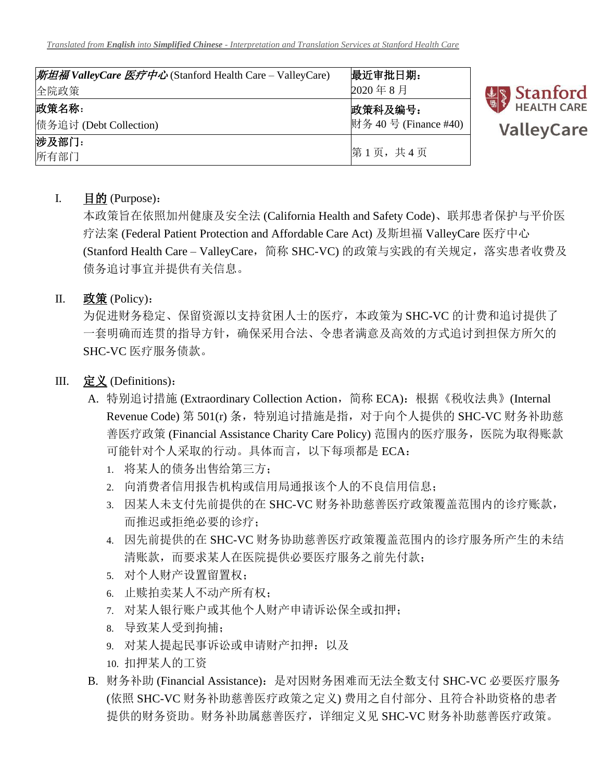| 斯坦福 ValleyCare 医疗中心 (Stanford Health Care – ValleyCare) | 最近审批日期:              |
|---------------------------------------------------------|----------------------|
| 全院政策                                                    | 2020年8月              |
| 政策名称:                                                   | 政策科及编号:              |
| 债务追讨 (Debt Collection)                                  | 财务 40号 (Finance #40) |
| 涉及部门:<br>所有部门                                           | 第1页,共4页              |



## I. 目的 (Purpose):

本政策旨在依照加州健康及安全法 (California Health and Safety Code)、联邦患者保护与平价医 疗法案 (Federal Patient Protection and Affordable Care Act) 及斯坦福 ValleyCare 医疗中心 (Stanford Health Care - ValleyCare, 简称 SHC-VC) 的政策与实践的有关规定, 落实患者收费及 债务追讨事宜并提供有关信息。

## II. 政策 (Policy):

为促进财务稳定、保留资源以支持贫困人士的医疗,本政策为 SHC-VC 的计费和追讨提供了 一套明确而连贯的指导方针,确保采用合法、令患者满意及高效的方式追讨到担保方所欠的 SHC-VC 医疗服务债款。

## III. 定义 (Definitions):

- A. 特别追讨措施 (Extraordinary Collection Action, 简称 ECA): 根据《税收法典》(Internal Revenue Code) 第 501(r) 条, 特别追讨措施是指, 对于向个人提供的 SHC-VC 财务补助慈 善医疗政策 (Financial Assistance Charity Care Policy) 范围内的医疗服务, 医院为取得账款 可能针对个人采取的行动。具体而言,以下每项都是 ECA:
	- 1. 将某人的债务出售给第三方;
	- 2. 向消费者信用报告机构或信用局通报该个人的不良信用信息;
	- 3. 因某人未支付先前提供的在 SHC-VC 财务补助慈善医疗政策覆盖范围内的诊疗账款, 而推迟或拒绝必要的诊疗;
	- 4. 因先前提供的在 SHC-VC 财务协助慈善医疗政策覆盖范围内的诊疗服务所产生的未结 清账款,而要求某人在医院提供必要医疗服务之前先付款;
	- 5. 对个人财产设置留置权;
	- 6. 止赎拍卖某人不动产所有权;
	- 7. 对某人银行账户或其他个人财产申请诉讼保全或扣押;
	- 8. 导致某人受到拘捕;
	- 9. 对某人提起民事诉讼或申请财产扣押:以及
	- 10. 扣押某人的工资
- B. 财务补助 (Financial Assistance): 是对因财务困难而无法全数支付 SHC-VC 必要医疗服务 (依照 SHC-VC 财务补助慈善医疗政策之定义) 费用之自付部分、且符合补助资格的患者 提供的财务资助。财务补助属慈善医疗,详细定义见 SHC-VC 财务补助慈善医疗政策。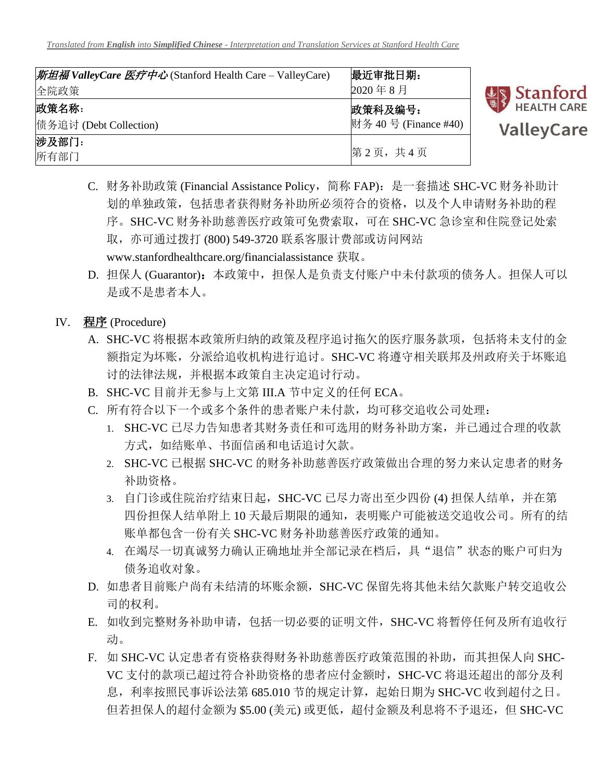| 斯坦福 ValleyCare 医疗中心 (Stanford Health Care – ValleyCare) | 最近审批日期:              |
|---------------------------------------------------------|----------------------|
| 全院政策                                                    | 2020年8月              |
| 政策名称:                                                   | 政策科及编号:              |
| 债务追讨 (Debt Collection)                                  | 财务 40号 (Finance #40) |
| 涉及部门:                                                   |                      |
| 所有部门                                                    | 第2页,共4页              |



- C. 财务补助政策 (Financial Assistance Policy,简称 FAP):是一套描述 SHC-VC 财务补助计 划的单独政策,包括患者获得财务补助所必须符合的资格,以及个人申请财务补助的程 序。SHC-VC 财务补助慈善医疗政策可免费索取,可在 SHC-VC 急诊室和住院登记处索 取,亦可通过拨打 (800) 549-3720 联系客服计费部或访问网站 [www.stanfordhealthcare.org/financialassistance](http://www.stanfordhealthcare.org/financialassistance) 获取。
- D. 担保人 (Guarantor): 本政策中, 担保人是负责支付账户中未付款项的债务人。担保人可以 是或不是患者本人。
- IV. 程序 (Procedure)
	- A. SHC-VC 将根据本政策所归纳的政策及程序追讨拖欠的医疗服务款项,包括将未支付的金 额指定为坏账,分派给追收机构进行追讨。SHC-VC 将遵守相关联邦及州政府关于坏账追 讨的法律法规,并根据本政策自主决定追讨行动。
	- B. SHC-VC 目前并无参与上文第 III.A 节中定义的任何 ECA。
	- C. 所有符合以下一个或多个条件的患者账户未付款,均可移交追收公司处理:
		- 1. SHC-VC 已尽力告知患者其财务责任和可选用的财务补助方案,并已通过合理的收款 方式,如结账单、书面信函和电话追讨欠款。
		- 2. SHC-VC 已根据 SHC-VC 的财务补助慈善医疗政策做出合理的努力来认定患者的财务 补助资格。
		- 3. 自门诊或住院治疗结束日起, SHC-VC 已尽力寄出至少四份 (4) 担保人结单, 并在第 四份担保人结单附上 10 天最后期限的通知,表明账户可能被送交追收公司。所有的结 账单都包含一份有关 SHC-VC 财务补助慈善医疗政策的通知。
		- 4. 在竭尽一切真诚努力确认正确地址并全部记录在档后, 具"退信"状态的账户可归为 债务追收对象。
	- D. 如患者目前账户尚有未结清的坏账余额,SHC-VC 保留先将其他未结欠款账户转交追收公 司的权利。
	- E. 如收到完整财务补助申请,包括一切必要的证明文件,SHC-VC 将暂停任何及所有追收行 动。
	- F. 如 SHC-VC 认定患者有资格获得财务补助慈善医疗政策范围的补助,而其担保人向 SHC-VC 支付的款项已超过符合补助资格的患者应付金额时, SHC-VC 将退还超出的部分及利 息,利率按照民事诉讼法第 685.010 节的规定计算,起始日期为 SHC-VC 收到超付之日。 但若担保人的超付金额为 \$5.00 (美元) 或更低,超付金额及利息将不予退还,但 SHC-VC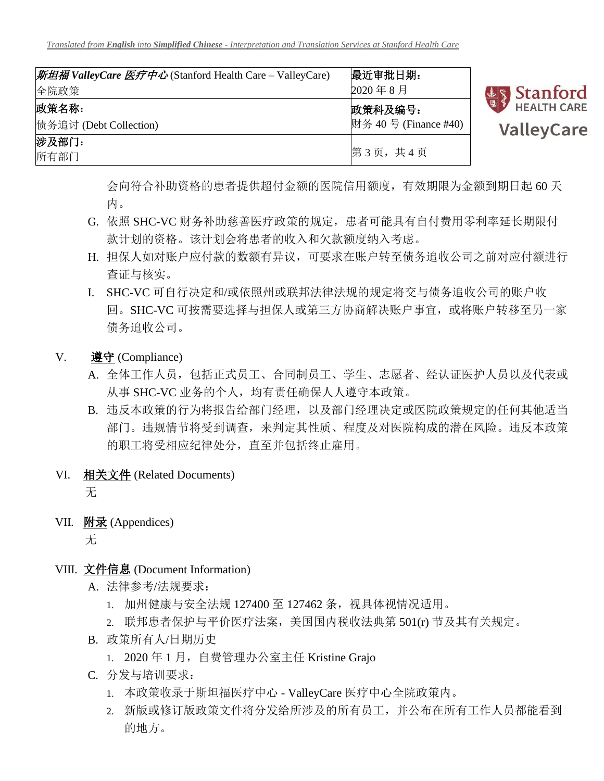| <i>斯坦福 ValleyCare 医疗中心</i> (Stanford Health Care – ValleyCare) | 最近审批日期:              |
|----------------------------------------------------------------|----------------------|
| 全院政策                                                           | 2020年8月              |
| 政策名称:                                                          | 政策科及编号:              |
| 债务追讨 (Debt Collection)                                         | 财务 40号 (Finance #40) |
| 涉及部门:<br>所有部门                                                  | 第3页,共4页              |



会向符合补助资格的患者提供超付金额的医院信用额度,有效期限为金额到期日起 60 天 内。

- G. 依照 SHC-VC 财务补助慈善医疗政策的规定,患者可能具有自付费用零利率延长期限付 款计划的资格。该计划会将患者的收入和欠款额度纳入考虑。
- H. 担保人如对账户应付款的数额有异议,可要求在账户转至债务追收公司之前对应付额进行 查证与核实。
- I. SHC-VC 可自行决定和/或依照州或联邦法律法规的规定将交与债务追收公司的账户收 回。SHC-VC 可按需要选择与担保人或第三方协商解决账户事宜,或将账户转移至另一家 债务追收公司。
- V. 遵守 (Compliance)
	- A. 全体工作人员,包括正式员工、合同制员工、学生、志愿者、经认证医护人员以及代表或 从事 SHC-VC 业务的个人,均有责任确保人人遵守本政策。
	- B. 违反本政策的行为将报告给部门经理,以及部门经理决定或医院政策规定的任何其他适当 部门。违规情节将受到调查,来判定其性质、程度及对医院构成的潜在风险。违反本政策 的职工将受相应纪律处分,直至并包括终止雇用。
- VI. 相关文件 (Related Documents) 无
- VII. 附录 (Appendices)

无

- VIII. 文件信息 (Document Information)
	- A. 法律参考/法规要求:
		- 1. 加州健康与安全法规 127400 至 127462 条,视具体视情况适用。
		- 2. 联邦患者保护与平价医疗法案,美国国内税收法典第 501(r) 节及其有关规定。
	- B. 政策所有人/日期历史
		- 1. 2020年1月, 自费管理办公室主任 Kristine Grajo
	- C. 分发与培训要求:
		- 1. 本政策收录于斯坦福医疗中心 ValleyCare 医疗中心全院政策内。
		- 2. 新版或修订版政策文件将分发给所涉及的所有员工,并公布在所有工作人员都能看到 的地方。